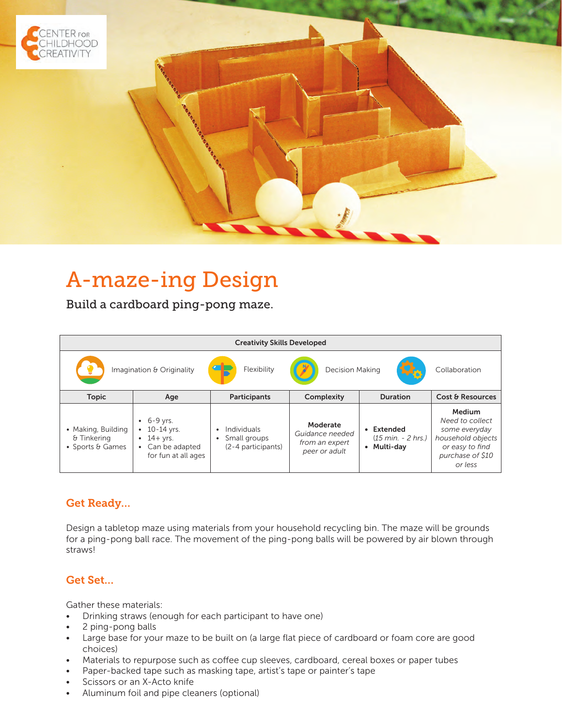

# A-maze-ing Design

Build a cardboard ping-pong maze.

| <b>Creativity Skills Developed</b>                                 |                                                                                                                    |                                                   |                                                                |                                                                 |                                                                                                                   |
|--------------------------------------------------------------------|--------------------------------------------------------------------------------------------------------------------|---------------------------------------------------|----------------------------------------------------------------|-----------------------------------------------------------------|-------------------------------------------------------------------------------------------------------------------|
| <b>Decision Making</b><br>Flexibility<br>Imagination & Originality |                                                                                                                    |                                                   |                                                                |                                                                 | Collaboration                                                                                                     |
| <b>Topic</b>                                                       | Age                                                                                                                | <b>Participants</b>                               | Complexity                                                     | <b>Duration</b>                                                 | Cost & Resources                                                                                                  |
| • Making, Building<br>& Tinkering<br>• Sports & Games              | $-6-9$ yrs.<br>$10-14$ yrs.<br>$\bullet$<br>$\cdot$ 14+ yrs.<br>Can be adapted<br>$\bullet$<br>for fun at all ages | Individuals<br>Small groups<br>(2-4 participants) | Moderate<br>Guidance needed<br>from an expert<br>peer or adult | Extended<br>$(15 \text{ min.} - 2 \text{ hrs.})$<br>• Multi-day | Medium<br>Need to collect<br>some everyday<br>household objects<br>or easy to find<br>purchase of \$10<br>or less |

## Get Ready…

Design a tabletop maze using materials from your household recycling bin. The maze will be grounds for a ping-pong ball race. The movement of the ping-pong balls will be powered by air blown through straws!

#### Get Set…

Gather these materials:

- Drinking straws (enough for each participant to have one)
- 2 ping-pong balls
- Large base for your maze to be built on (a large flat piece of cardboard or foam core are good choices)
- Materials to repurpose such as coffee cup sleeves, cardboard, cereal boxes or paper tubes
- Paper-backed tape such as masking tape, artist's tape or painter's tape
- Scissors or an X-Acto knife
- Aluminum foil and pipe cleaners (optional)